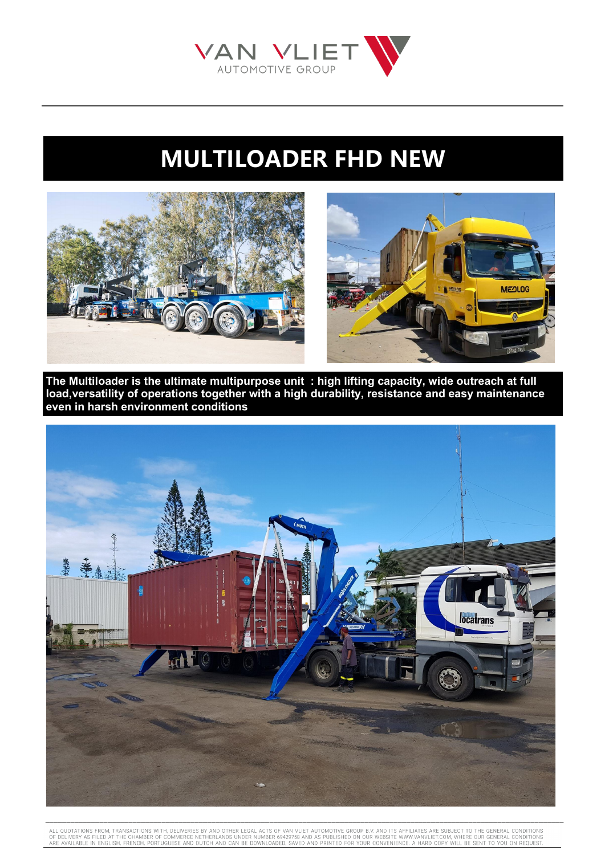## **MULTILOADER FHD NEW**

**MEQLOG** 



**The Multiloader is the ultimate multipurpose unit : high lifting capacity, wide outreach at full load,versatility of operations together with a high durability, resistance and easy maintenance even in harsh environment conditions**